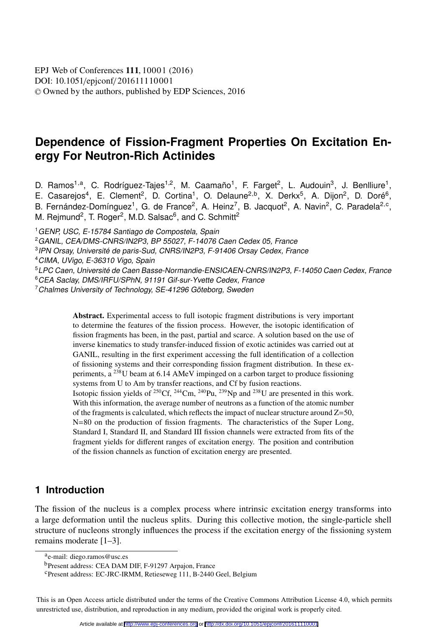[DOI: 10.1051](http://dx.doi.org/10.1051/epjconf/201611110001)/epjconf/201611110001 © Owned by the authors, published by [EDP Sciences,](http://www.edpsciences.org) 2016 EPJ Web of [Conferences](http://www.epj-conferences.org) 111, 10001 (2016)

# **Dependence of Fission-Fragment Properties On Excitation Energy For Neutron-Rich Actinides**

D. Ramos<sup>1,a</sup>, C. Rodríguez-Tajes<sup>1,2</sup>, M. Caamaño<sup>1</sup>, F. Farget<sup>2</sup>, L. Audouin<sup>3</sup>, J. Benlliure<sup>1</sup>, E. Casarejos<sup>4</sup>, E. Clement<sup>2</sup>, D. Cortina<sup>1</sup>, O. Delaune<sup>2,b</sup>, X. Derkx<sup>5</sup>, A. Dijon<sup>2</sup>, D. Doré<sup>6</sup>, B. Fernández-Domínguez<sup>1</sup>, G. de France<sup>2</sup>, A. Heinz<sup>7</sup>, B. Jacquot<sup>2</sup>, A. Navin<sup>2</sup>, C. Paradela<sup>2,c</sup>, M. Rejmund<sup>2</sup>, T. Roger<sup>2</sup>, M.D. Salsac<sup>6</sup>, and C. Schmitt<sup>2</sup>

<sup>1</sup> GENP, USC, E-15784 Santiago de Compostela, Spain

<sup>2</sup>GANIL, CEA/DMS-CNRS/IN2P3, BP 55027, F-14076 Caen Cedex 05, France

<sup>3</sup>IPN Orsay, Université de paris-Sud, CNRS/IN2P3, F-91406 Orsay Cedex, France

<sup>4</sup>CIMA, UVigo, E-36310 Vigo, Spain

<sup>6</sup>CEA Saclay, DMS/IRFU/SPhN, 91191 Gif-sur-Yvette Cedex, France

<sup>7</sup> Chalmes University of Technology, SE-41296 Göteborg, Sweden

Abstract. Experimental access to full isotopic fragment distributions is very important to determine the features of the fission process. However, the isotopic identification of fission fragments has been, in the past, partial and scarce. A solution based on the use of inverse kinematics to study transfer-induced fission of exotic actinides was carried out at GANIL, resulting in the first experiment accessing the full identification of a collection of fissioning systems and their corresponding fission fragment distribution. In these experiments, a 238U beam at 6.14 AMeV impinged on a carbon target to produce fissioning systems from U to Am by transfer reactions, and Cf by fusion reactions. Isotopic fission yields of 250Cf, 244Cm, 240Pu, 239Np and 238U are presented in this work. With this information, the average number of neutrons as a function of the atomic number of the fragments is calculated, which reflects the impact of nuclear structure around  $Z=50$ , N=80 on the production of fission fragments. The characteristics of the Super Long, Standard I, Standard II, and Standard III fission channels were extracted from fits of the fragment yields for different ranges of excitation energy. The position and contribution

of the fission channels as function of excitation energy are presented.

## **1 Introduction**

The fission of the nucleus is a complex process where intrinsic excitation energy transforms into a large deformation until the nucleus splits. During this collective motion, the single-particle shell structure of nucleons strongly influences the process if the excitation energy of the fissioning system remains moderate [1–3].

This is an Open Access article distributed under the terms of the Creative Commons Attribution License 4.0, which permits unrestricted use, distribution, and reproduction in any medium, provided the original work is properly cited.

<sup>5</sup>LPC Caen, Université de Caen Basse-Normandie-ENSICAEN-CNRS/IN2P3, F-14050 Caen Cedex, France

ae-mail: diego.ramos@usc.es

bPresent address: CEA DAM DIF, F-91297 Arpajon, France

cPresent address: EC-JRC-IRMM, Retieseweg 111, B-2440 Geel, Belgium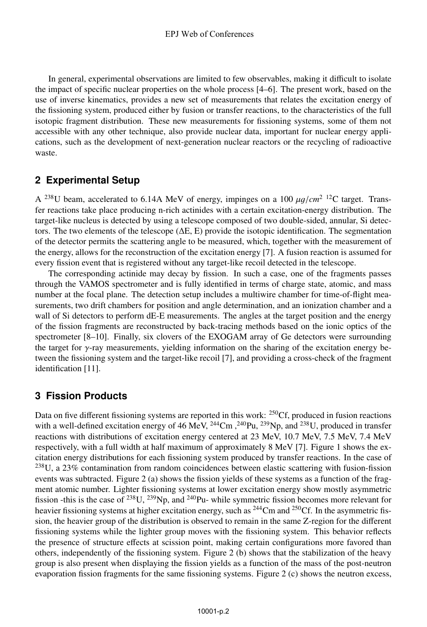In general, experimental observations are limited to few observables, making it difficult to isolate the impact of specific nuclear properties on the whole process [4–6]. The present work, based on the use of inverse kinematics, provides a new set of measurements that relates the excitation energy of the fissioning system, produced either by fusion or transfer reactions, to the characteristics of the full isotopic fragment distribution. These new measurements for fissioning systems, some of them not accessible with any other technique, also provide nuclear data, important for nuclear energy applications, such as the development of next-generation nuclear reactors or the recycling of radioactive waste.

## **2 Experimental Setup**

<sup>A</sup> 238U beam, accelerated to 6.14A MeV of energy, impinges on a 100 μg/*cm*2 12C target. Transfer reactions take place producing n-rich actinides with a certain excitation-energy distribution. The target-like nucleus is detected by using a telescope composed of two double-sided, annular, Si detectors. The two elements of the telescope (ΔE, E) provide the isotopic identification. The segmentation of the detector permits the scattering angle to be measured, which, together with the measurement of the energy, allows for the reconstruction of the excitation energy [7]. A fusion reaction is assumed for every fission event that is registered without any target-like recoil detected in the telescope.

The corresponding actinide may decay by fission. In such a case, one of the fragments passes through the VAMOS spectrometer and is fully identified in terms of charge state, atomic, and mass number at the focal plane. The detection setup includes a multiwire chamber for time-of-flight measurements, two drift chambers for position and angle determination, and an ionization chamber and a wall of Si detectors to perform dE-E measurements. The angles at the target position and the energy of the fission fragments are reconstructed by back-tracing methods based on the ionic optics of the spectrometer [8–10]. Finally, six clovers of the EXOGAM array of Ge detectors were surrounding the target for γ-ray measurements, yielding information on the sharing of the excitation energy between the fissioning system and the target-like recoil [7], and providing a cross-check of the fragment identification [11].

## **3 Fission Products**

Data on five different fissioning systems are reported in this work: <sup>250</sup>Cf, produced in fusion reactions with a well-defined excitation energy of 46 MeV, <sup>244</sup>Cm, <sup>240</sup>Pu, <sup>239</sup>Np, and <sup>238</sup>U, produced in transfer reactions with distributions of excitation energy centered at 23 MeV, 10.7 MeV, 7.5 MeV, 7.4 MeV respectively, with a full width at half maximum of approximately 8 MeV [7]. Figure 1 shows the excitation energy distributions for each fissioning system produced by transfer reactions. In the case of  $^{238}$ U, a 23% contamination from random coincidences between elastic scattering with fusion-fission events was subtracted. Figure 2 (a) shows the fission yields of these systems as a function of the fragment atomic number. Lighter fissioning systems at lower excitation energy show mostly asymmetric fission -this is the case of  $^{238}$ U,  $^{239}$ Np, and  $^{240}$ Pu- while symmetric fission becomes more relevant for heavier fissioning systems at higher excitation energy, such as <sup>244</sup>Cm and <sup>250</sup>Cf. In the asymmetric fission, the heavier group of the distribution is observed to remain in the same Z-region for the different fissioning systems while the lighter group moves with the fissioning system. This behavior reflects the presence of structure effects at scission point, making certain configurations more favored than others, independently of the fissioning system. Figure 2 (b) shows that the stabilization of the heavy group is also present when displaying the fission yields as a function of the mass of the post-neutron evaporation fission fragments for the same fissioning systems. Figure 2 (c) shows the neutron excess,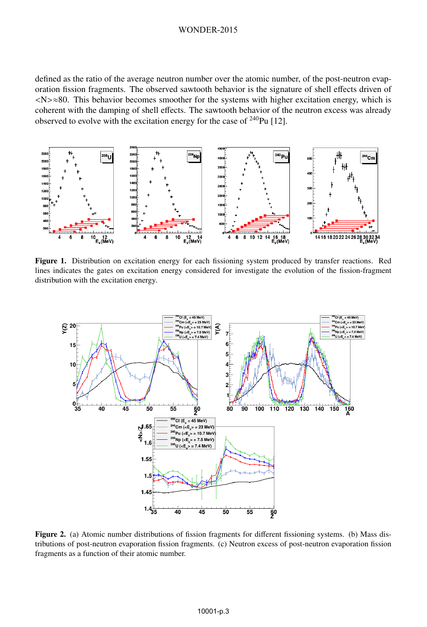#### WONDER-2015

defined as the ratio of the average neutron number over the atomic number, of the post-neutron evaporation fission fragments. The observed sawtooth behavior is the signature of shell effects driven of <N>≈80. This behavior becomes smoother for the systems with higher excitation energy, which is coherent with the damping of shell effects. The sawtooth behavior of the neutron excess was already observed to evolve with the excitation energy for the case of 240Pu [12].



Figure 1. Distribution on excitation energy for each fissioning system produced by transfer reactions. Red lines indicates the gates on excitation energy considered for investigate the evolution of the fission-fragment distribution with the excitation energy.



Figure 2. (a) Atomic number distributions of fission fragments for different fissioning systems. (b) Mass distributions of post-neutron evaporation fission fragments. (c) Neutron excess of post-neutron evaporation fission fragments as a function of their atomic number.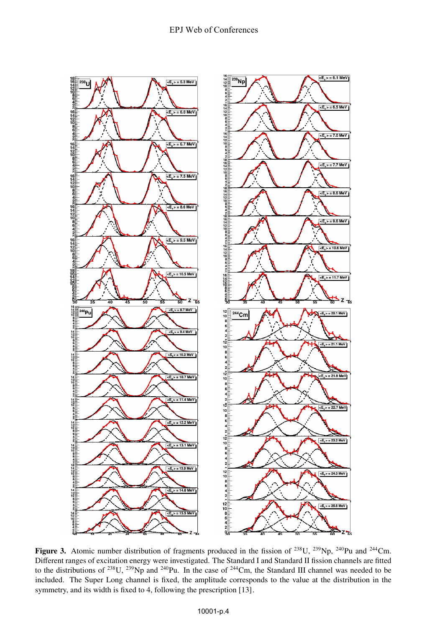

Figure 3. Atomic number distribution of fragments produced in the fission of <sup>238</sup>U, <sup>239</sup>Np, <sup>240</sup>Pu and <sup>244</sup>Cm. Different ranges of excitation energy were investigated. The Standard I and Standard II fission channels are fitted to the distributions of  $^{238}$ U,  $^{239}$ Np and  $^{240}$ Pu. In the case of  $^{244}$ Cm, the Standard III channel was needed to be included. The Super Long channel is fixed, the amplitude corresponds to the value at the distribution in the symmetry, and its width is fixed to 4, following the prescription [13].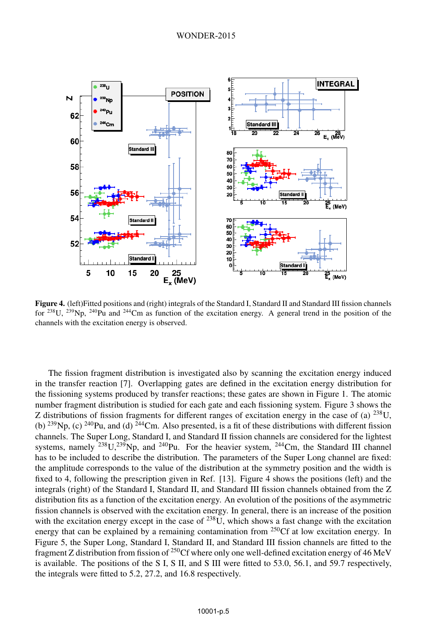

Figure 4. (left)Fitted positions and (right) integrals of the Standard I, Standard II and Standard III fission channels for 238U, 239Np, 240Pu and 244Cm as function of the excitation energy. A general trend in the position of the channels with the excitation energy is observed.

The fission fragment distribution is investigated also by scanning the excitation energy induced in the transfer reaction [7]. Overlapping gates are defined in the excitation energy distribution for the fissioning systems produced by transfer reactions; these gates are shown in Figure 1. The atomic number fragment distribution is studied for each gate and each fissioning system. Figure 3 shows the Z distributions of fission fragments for different ranges of excitation energy in the case of (a)  $^{238}$ U, (b)  $^{239}$ Np, (c)  $^{240}$ Pu, and (d)  $^{244}$ Cm. Also presented, is a fit of these distributions with different fission channels. The Super Long, Standard I, and Standard II fission channels are considered for the lightest systems, namely  $^{238}U,^{239}Np$ , and  $^{240}Pu$ . For the heavier system,  $^{244}Cm$ , the Standard III channel has to be included to describe the distribution. The parameters of the Super Long channel are fixed: the amplitude corresponds to the value of the distribution at the symmetry position and the width is fixed to 4, following the prescription given in Ref. [13]. Figure 4 shows the positions (left) and the integrals (right) of the Standard I, Standard II, and Standard III fission channels obtained from the Z distribution fits as a function of the excitation energy. An evolution of the positions of the asymmetric fission channels is observed with the excitation energy. In general, there is an increase of the position with the excitation energy except in the case of <sup>238</sup>U, which shows a fast change with the excitation energy that can be explained by a remaining contamination from  $^{250}$ Cf at low excitation energy. In Figure 5, the Super Long, Standard I, Standard II, and Standard III fission channels are fitted to the fragment Z distribution from fission of <sup>250</sup>Cf where only one well-defined excitation energy of 46 MeV is available. The positions of the S I, S II, and S III were fitted to 53.0, 56.1, and 59.7 respectively, the integrals were fitted to 5.2, 27.2, and 16.8 respectively.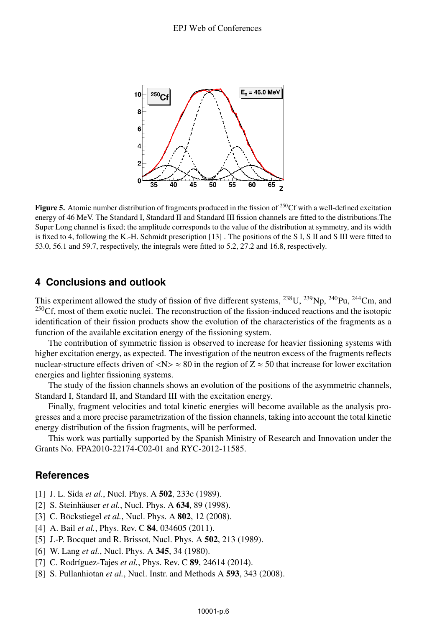

**Figure 5.** Atomic number distribution of fragments produced in the fission of <sup>250</sup>Cf with a well-defined excitation energy of 46 MeV. The Standard I, Standard II and Standard III fission channels are fitted to the distributions.The Super Long channel is fixed; the amplitude corresponds to the value of the distribution at symmetry, and its width is fixed to 4, following the K.-H. Schmidt prescription [13] . The positions of the S I, S II and S III were fitted to 53.0, 56.1 and 59.7, respectively, the integrals were fitted to 5.2, 27.2 and 16.8, respectively.

## **4 Conclusions and outlook**

This experiment allowed the study of fission of five different systems,  $^{238}$ U,  $^{239}$ Np,  $^{240}$ Pu,  $^{244}$ Cm, and  $^{250}$ Cf, most of them exotic nuclei. The reconstruction of the fission-induced reactions and the isotopic identification of their fission products show the evolution of the characteristics of the fragments as a function of the available excitation energy of the fissioning system.

The contribution of symmetric fission is observed to increase for heavier fissioning systems with higher excitation energy, as expected. The investigation of the neutron excess of the fragments reflects nuclear-structure effects driven of  $\langle N \rangle \approx 80$  in the region of  $Z \approx 50$  that increase for lower excitation energies and lighter fissioning systems.

The study of the fission channels shows an evolution of the positions of the asymmetric channels, Standard I, Standard II, and Standard III with the excitation energy.

Finally, fragment velocities and total kinetic energies will become available as the analysis progresses and a more precise parametrization of the fission channels, taking into account the total kinetic energy distribution of the fission fragments, will be performed.

This work was partially supported by the Spanish Ministry of Research and Innovation under the Grants No. FPA2010-22174-C02-01 and RYC-2012-11585.

#### **References**

- [1] J. L. Sida *et al.*, Nucl. Phys. A 502, 233c (1989).
- [2] S. Steinhäuser *et al.*, Nucl. Phys. A 634, 89 (1998).
- [3] C. Böckstiegel *et al.*, Nucl. Phys. A 802, 12 (2008).
- [4] A. Bail *et al.*, Phys. Rev. C 84, 034605 (2011).
- [5] J.-P. Bocquet and R. Brissot, Nucl. Phys. A **502**, 213 (1989).
- [6] W. Lang *et al.*, Nucl. Phys. A 345, 34 (1980).
- [7] C. Rodríguez-Tajes *et al.*, Phys. Rev. C 89, 24614 (2014).
- [8] S. Pullanhiotan *et al.*, Nucl. Instr. and Methods A 593, 343 (2008).